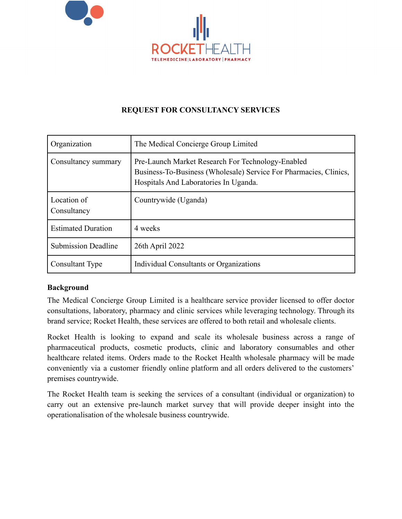

## **REQUEST FOR CONSULTANCY SERVICES**

| Organization               | The Medical Concierge Group Limited                                                                                                                             |  |
|----------------------------|-----------------------------------------------------------------------------------------------------------------------------------------------------------------|--|
| Consultancy summary        | Pre-Launch Market Research For Technology-Enabled<br>Business-To-Business (Wholesale) Service For Pharmacies, Clinics,<br>Hospitals And Laboratories In Uganda. |  |
| Location of<br>Consultancy | Countrywide (Uganda)                                                                                                                                            |  |
| <b>Estimated Duration</b>  | 4 weeks                                                                                                                                                         |  |
| <b>Submission Deadline</b> | 26th April 2022                                                                                                                                                 |  |
| Consultant Type            | Individual Consultants or Organizations                                                                                                                         |  |

#### **Background**

The Medical Concierge Group Limited is a healthcare service provider licensed to offer doctor consultations, laboratory, pharmacy and clinic services while leveraging technology. Through its brand service; Rocket Health, these services are offered to both retail and wholesale clients.

Rocket Health is looking to expand and scale its wholesale business across a range of pharmaceutical products, cosmetic products, clinic and laboratory consumables and other healthcare related items. Orders made to the Rocket Health wholesale pharmacy will be made conveniently via a customer friendly online platform and all orders delivered to the customers' premises countrywide.

The Rocket Health team is seeking the services of a consultant (individual or organization) to carry out an extensive pre-launch market survey that will provide deeper insight into the operationalisation of the wholesale business countrywide.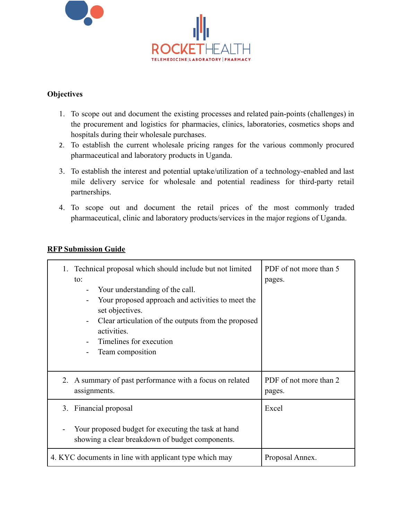

### **Objectives**

- 1. To scope out and document the existing processes and related pain-points (challenges) in the procurement and logistics for pharmacies, clinics, laboratories, cosmetics shops and hospitals during their wholesale purchases.
- 2. To establish the current wholesale pricing ranges for the various commonly procured pharmaceutical and laboratory products in Uganda.
- 3. To establish the interest and potential uptake/utilization of a technology-enabled and last mile delivery service for wholesale and potential readiness for third-party retail partnerships.
- 4. To scope out and document the retail prices of the most commonly traded pharmaceutical, clinic and laboratory products/services in the major regions of Uganda.

#### **RFP Submission Guide**

|                                                                                                        | Technical proposal which should include but not limited<br>to:<br>Your understanding of the call.<br>Your proposed approach and activities to meet the<br>set objectives.<br>Clear articulation of the outputs from the proposed<br>activities.<br>Timelines for execution<br>Team composition | PDF of not more than 5<br>pages. |
|--------------------------------------------------------------------------------------------------------|------------------------------------------------------------------------------------------------------------------------------------------------------------------------------------------------------------------------------------------------------------------------------------------------|----------------------------------|
|                                                                                                        | 2. A summary of past performance with a focus on related<br>assignments.                                                                                                                                                                                                                       | PDF of not more than 2<br>pages. |
|                                                                                                        | 3. Financial proposal                                                                                                                                                                                                                                                                          | Excel                            |
| Your proposed budget for executing the task at hand<br>showing a clear breakdown of budget components. |                                                                                                                                                                                                                                                                                                |                                  |
|                                                                                                        | 4. KYC documents in line with applicant type which may                                                                                                                                                                                                                                         | Proposal Annex.                  |